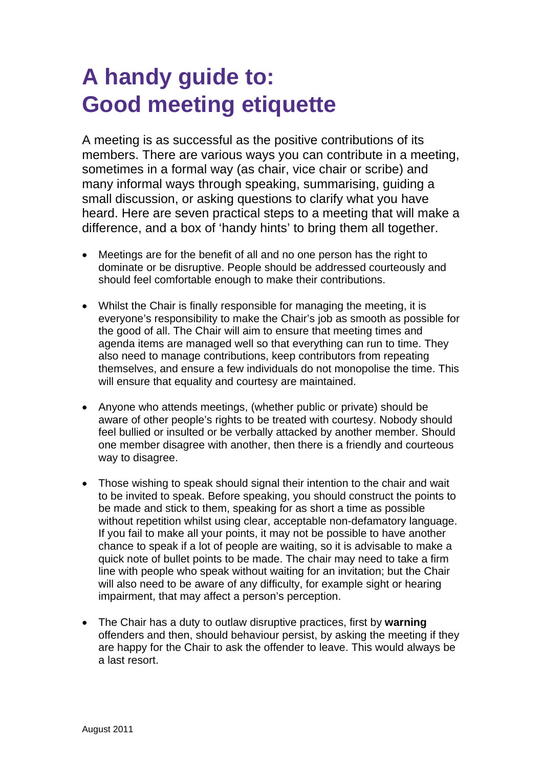## **A handy guide to: Good meeting etiquette**

A meeting is as successful as the positive contributions of its members. There are various ways you can contribute in a meeting, sometimes in a formal way (as chair, vice chair or scribe) and many informal ways through speaking, summarising, guiding a small discussion, or asking questions to clarify what you have heard. Here are seven practical steps to a meeting that will make a difference, and a box of 'handy hints' to bring them all together.

- Meetings are for the benefit of all and no one person has the right to dominate or be disruptive. People should be addressed courteously and should feel comfortable enough to make their contributions.
- Whilst the Chair is finally responsible for managing the meeting, it is everyone's responsibility to make the Chair's job as smooth as possible for the good of all. The Chair will aim to ensure that meeting times and agenda items are managed well so that everything can run to time. They also need to manage contributions, keep contributors from repeating themselves, and ensure a few individuals do not monopolise the time. This will ensure that equality and courtesy are maintained.
- Anyone who attends meetings, (whether public or private) should be aware of other people's rights to be treated with courtesy. Nobody should feel bullied or insulted or be verbally attacked by another member. Should one member disagree with another, then there is a friendly and courteous way to disagree.
- Those wishing to speak should signal their intention to the chair and wait to be invited to speak. Before speaking, you should construct the points to be made and stick to them, speaking for as short a time as possible without repetition whilst using clear, acceptable non-defamatory language. If you fail to make all your points, it may not be possible to have another chance to speak if a lot of people are waiting, so it is advisable to make a quick note of bullet points to be made. The chair may need to take a firm line with people who speak without waiting for an invitation; but the Chair will also need to be aware of any difficulty, for example sight or hearing impairment, that may affect a person's perception.
- The Chair has a duty to outlaw disruptive practices, first by **warning** offenders and then, should behaviour persist, by asking the meeting if they are happy for the Chair to ask the offender to leave. This would always be a last resort.